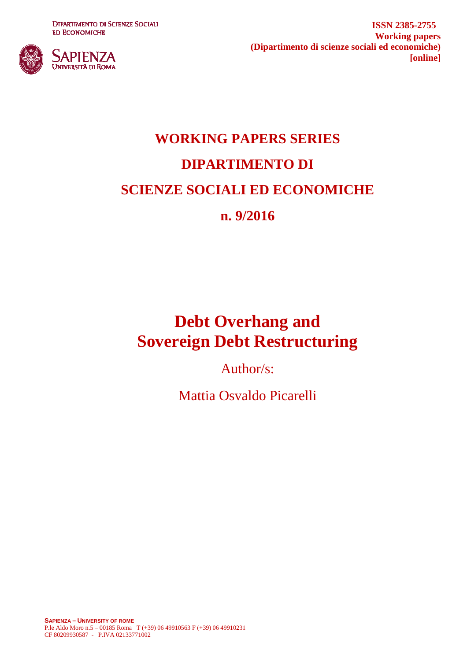**DIPARTIMENTO DI SCIENZE SOCIALI ED ECONOMICHE** 



**ISSN 2385-2755 Working papers (Dipartimento di scienze sociali ed economiche) [online]**

# **WORKING PAPERS SERIES DIPARTIMENTO DI SCIENZE SOCIALI ED ECONOMICHE n. 9/2016**

## **Debt Overhang and Sovereign Debt Restructuring**

Author/s:

Mattia Osvaldo Picarelli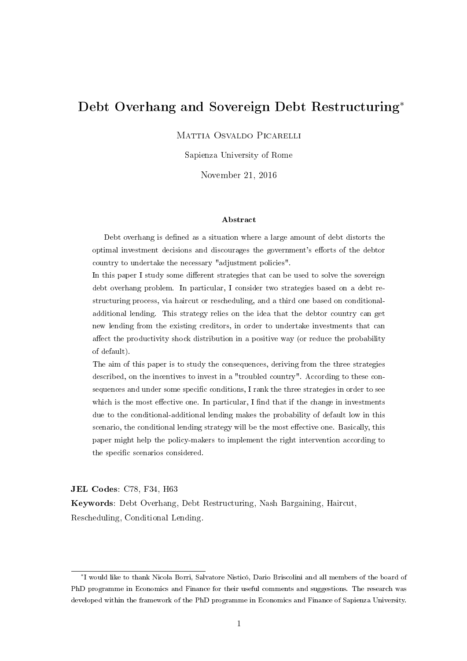### Debt Overhang and Sovereign Debt Restructuring<sup>∗</sup>

Mattia Osvaldo Picarelli

Sapienza University of Rome

November 21, 2016

#### Abstract

Debt overhang is defined as a situation where a large amount of debt distorts the optimal investment decisions and discourages the government's efforts of the debtor country to undertake the necessary "adjustment policies".

In this paper I study some different strategies that can be used to solve the sovereign debt overhang problem. In particular, I consider two strategies based on a debt restructuring process, via haircut or rescheduling, and a third one based on conditionaladditional lending. This strategy relies on the idea that the debtor country can get new lending from the existing creditors, in order to undertake investments that can affect the productivity shock distribution in a positive way (or reduce the probability of default).

The aim of this paper is to study the consequences, deriving from the three strategies described, on the incentives to invest in a "troubled country". According to these consequences and under some specific conditions, I rank the three strategies in order to see which is the most effective one. In particular, I find that if the change in investments due to the conditional-additional lending makes the probability of default low in this scenario, the conditional lending strategy will be the most effective one. Basically, this paper might help the policy-makers to implement the right intervention according to the specific scenarios considered.

JEL Codes: C78, F34, H63

Keywords: Debt Overhang, Debt Restructuring, Nash Bargaining, Haircut, Rescheduling, Conditional Lending.

<sup>∗</sup> I would like to thank Nicola Borri, Salvatore Nisticó, Dario Briscolini and all members of the board of PhD programme in Economics and Finance for their useful comments and suggestions. The research was developed within the framework of the PhD programme in Economics and Finance of Sapienza University.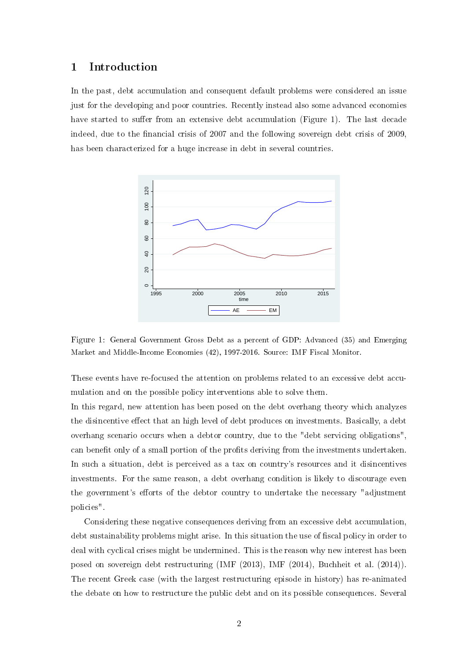#### 1 Introduction

In the past, debt accumulation and consequent default problems were considered an issue just for the developing and poor countries. Recently instead also some advanced economies have started to suffer from an extensive debt accumulation (Figure 1). The last decade indeed, due to the financial crisis of 2007 and the following sovereign debt crisis of 2009. has been characterized for a huge increase in debt in several countries.



Figure 1: General Government Gross Debt as a percent of GDP: Advanced (35) and Emerging Market and Middle-Income Economies (42), 1997-2016. Source: IMF Fiscal Monitor.

These events have re-focused the attention on problems related to an excessive debt accumulation and on the possible policy interventions able to solve them.

In this regard, new attention has been posed on the debt overhang theory which analyzes the disincentive effect that an high level of debt produces on investments. Basically, a debt overhang scenario occurs when a debtor country, due to the "debt servicing obligations", can benefit only of a small portion of the profits deriving from the investments undertaken. In such a situation, debt is perceived as a tax on country's resources and it disincentives investments. For the same reason, a debt overhang condition is likely to discourage even the government's efforts of the debtor country to undertake the necessary "adjustment" policies".

Considering these negative consequences deriving from an excessive debt accumulation, debt sustainability problems might arise. In this situation the use of fiscal policy in order to deal with cyclical crises might be undermined. This is the reason why new interest has been posed on sovereign debt restructuring (IMF (2013), IMF (2014), Buchheit et al. (2014)). The recent Greek case (with the largest restructuring episode in history) has re-animated the debate on how to restructure the public debt and on its possible consequences. Several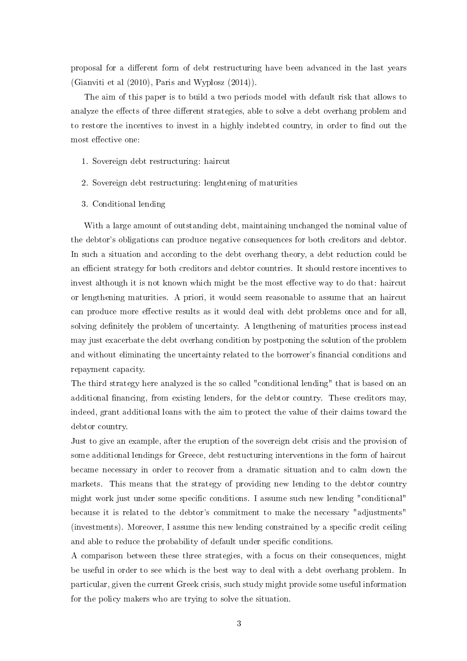proposal for a different form of debt restructuring have been advanced in the last years (Gianviti et al  $(2010)$ , Paris and Wyplosz  $(2014)$ ).

The aim of this paper is to build a two periods model with default risk that allows to analyze the effects of three different strategies, able to solve a debt overhang problem and to restore the incentives to invest in a highly indebted country, in order to find out the most effective one:

- 1. Sovereign debt restructuring: haircut
- 2. Sovereign debt restructuring: lenghtening of maturities
- 3. Conditional lending

With a large amount of outstanding debt, maintaining unchanged the nominal value of the debtor's obligations can produce negative consequences for both creditors and debtor. In such a situation and according to the debt overhang theory, a debt reduction could be an efficient strategy for both creditors and debtor countries. It should restore incentives to invest although it is not known which might be the most effective way to do that: haircut or lengthening maturities. A priori, it would seem reasonable to assume that an haircut can produce more effective results as it would deal with debt problems once and for all, solving definitely the problem of uncertainty. A lengthening of maturities process instead may just exacerbate the debt overhang condition by postponing the solution of the problem and without eliminating the uncertainty related to the borrower's financial conditions and repayment capacity.

The third strategy here analyzed is the so called "conditional lending" that is based on an additional financing, from existing lenders, for the debtor country. These creditors may, indeed, grant additional loans with the aim to protect the value of their claims toward the debtor country.

Just to give an example, after the eruption of the sovereign debt crisis and the provision of some additional lendings for Greece, debt restucturing interventions in the form of haircut became necessary in order to recover from a dramatic situation and to calm down the markets. This means that the strategy of providing new lending to the debtor country might work just under some specific conditions. I assume such new lending "conditional" because it is related to the debtor's commitment to make the necessary "adjustments" (investments). Moreover, I assume this new lending constrained by a specific credit ceiling and able to reduce the probability of default under specific conditions.

A comparison between these three strategies, with a focus on their consequences, might be useful in order to see which is the best way to deal with a debt overhang problem. In particular, given the current Greek crisis, such study might provide some useful information for the policy makers who are trying to solve the situation.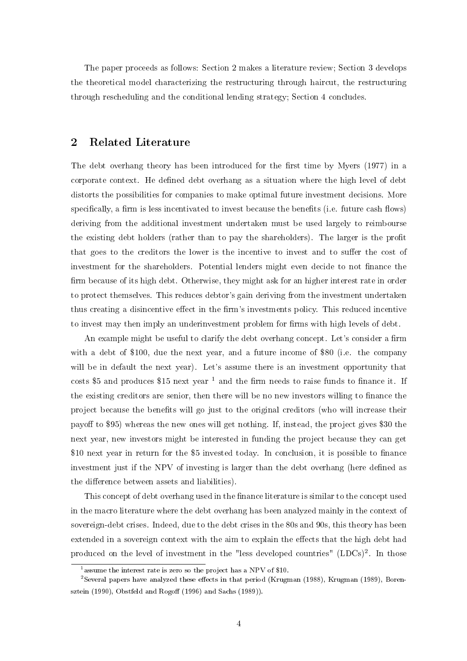The paper proceeds as follows: Section 2 makes a literature review; Section 3 develops the theoretical model characterizing the restructuring through haircut, the restructuring through rescheduling and the conditional lending strategy; Section 4 concludes.

#### 2 Related Literature

The debt overhang theory has been introduced for the first time by Myers (1977) in a corporate context. He defined debt overhang as a situation where the high level of debt distorts the possibilities for companies to make optimal future investment decisions. More specifically, a firm is less incentivated to invest because the benefits (i.e. future cash flows) deriving from the additional investment undertaken must be used largely to reimbourse the existing debt holders (rather than to pay the shareholders). The larger is the profit that goes to the creditors the lower is the incentive to invest and to suffer the cost of investment for the shareholders. Potential lenders might even decide to not finance the firm because of its high debt. Otherwise, they might ask for an higher interest rate in order to protect themselves. This reduces debtor's gain deriving from the investment undertaken thus creating a disincentive effect in the firm's investments policy. This reduced incentive to invest may then imply an underinvestment problem for firms with high levels of debt.

An example might be useful to clarify the debt overhang concept. Let's consider a firm with a debt of \$100, due the next year, and a future income of \$80 (i.e. the company will be in default the next year). Let's assume there is an investment opportunity that costs \$5 and produces \$15 next year  $^1$  and the firm needs to raise funds to finance it. If the existing creditors are senior, then there will be no new investors willing to finance the project because the benets will go just to the original creditors (who will increase their payoff to \$95) whereas the new ones will get nothing. If, instead, the project gives \$30 the next year, new investors might be interested in funding the project because they can get \$10 next year in return for the \$5 invested today. In conclusion, it is possible to finance investment just if the NPV of investing is larger than the debt overhang (here defined as the difference between assets and liabilities).

This concept of debt overhang used in the finance literature is similar to the concept used in the macro literature where the debt overhang has been analyzed mainly in the context of sovereign-debt crises. Indeed, due to the debt crises in the 80s and 90s, this theory has been extended in a sovereign context with the aim to explain the effects that the high debt had produced on the level of investment in the "less developed countries"  $(LDCs)^2$ . In those

<sup>&</sup>lt;sup>1</sup> assume the interest rate is zero so the project has a NPV of \$10.

<sup>&</sup>lt;sup>2</sup>Several papers have analyzed these effects in that period (Krugman (1988), Krugman (1989), Borensztein (1990), Obstfeld and Rogoff (1996) and Sachs (1989)).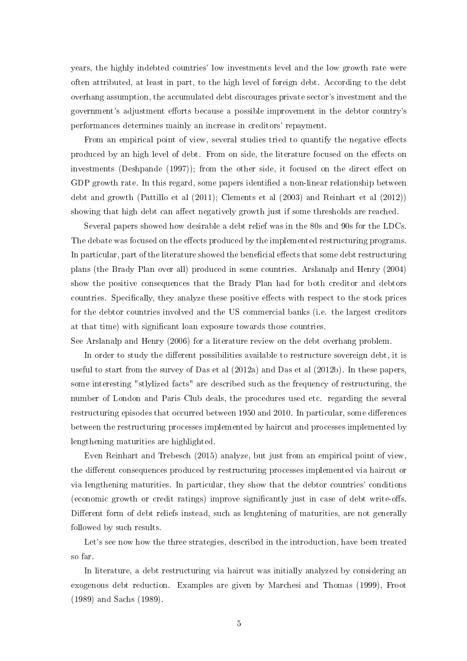years, the highly indebted countries' low investments level and the low growth rate were often attributed, at least in part, to the high level of foreign debt. According to the debt overhang assumption, the accumulated debt discourages private sector's investment and the government's adjustment efforts because a possible improvement in the debtor country's performances determines mainly an increase in creditors' repayment.

From an empirical point of view, several studies tried to quantify the negative effects produced by an high level of debt. From on side, the literature focused on the effects on investments (Deshpande  $(1997)$ ); from the other side, it focused on the direct effect on GDP growth rate. In this regard, some papers identified a non-linear relationship between debt and growth (Pattillo et al (2011); Clements et al (2003) and Reinhart et al (2012)) showing that high debt can affect negatively growth just if some thresholds are reached.

Several papers showed how desirable a debt relief was in the 80s and 90s for the LDCs. The debate was focused on the effects produced by the implemented restructuring programs. In particular, part of the literature showed the beneficial effects that some debt restructuring plans (the Brady Plan over all) produced in some countries. Arslanalp and Henry (2004) show the positive consequences that the Brady Plan had for both creditor and debtors countries. Specifically, they analyze these positive effects with respect to the stock prices for the debtor countries involved and the US commercial banks (i.e. the largest creditors at that time) with significant loan exposure towards those countries.

See Arslanalp and Henry (2006) for a literature review on the debt overhang problem.

In order to study the different possibilities available to restructure sovereign debt, it is useful to start from the survey of Das et al (2012a) and Das et al (2012b). In these papers, some interesting "stlylized facts" are described such as the frequency of restructuring, the number of London and Paris Club deals, the procedures used etc. regarding the several restructuring episodes that occurred between 1950 and 2010. In particular, some differences between the restructuring processes implemented by haircut and processes implemented by lengthening maturities are highlighted.

Even Reinhart and Trebesch (2015) analyze, but just from an empirical point of view, the different consequences produced by restructuring processes implemented via haircut or via lengthening maturities. In particular, they show that the debtor countries' conditions (economic growth or credit ratings) improve significantly just in case of debt write-offs. Different form of debt reliefs instead, such as lenghtening of maturities, are not generally followed by such results.

Let's see now how the three strategies, described in the introduction, have been treated so far.

In literature, a debt restructuring via haircut was initially analyzed by considering an exogenous debt reduction. Examples are given by Marchesi and Thomas (1999), Froot (1989) and Sachs (1989).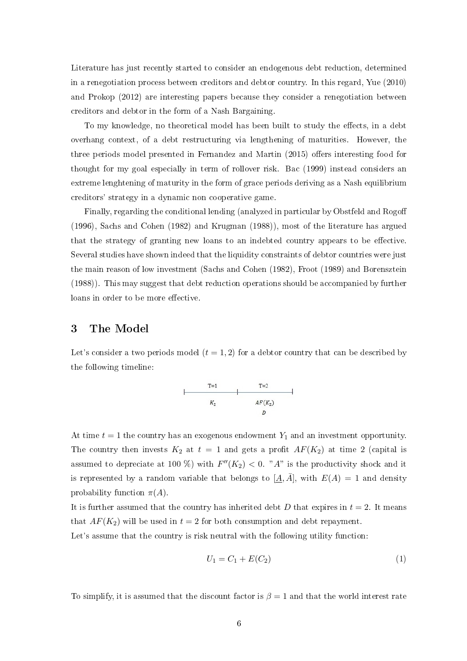Literature has just recently started to consider an endogenous debt reduction, determined in a renegotiation process between creditors and debtor country. In this regard, Yue (2010) and Prokop (2012) are interesting papers because they consider a renegotiation between creditors and debtor in the form of a Nash Bargaining.

To my knowledge, no theoretical model has been built to study the effects, in a debt overhang context, of a debt restructuring via lengthening of maturities. However, the three periods model presented in Fernandez and Martin (2015) offers interesting food for thought for my goal especially in term of rollover risk. Bac (1999) instead considers an extreme lenghtening of maturity in the form of grace periods deriving as a Nash equilibrium creditors' strategy in a dynamic non cooperative game.

Finally, regarding the conditional lending (analyzed in particular by Obstfeld and Rogo (1996), Sachs and Cohen (1982) and Krugman (1988)), most of the literature has argued that the strategy of granting new loans to an indebted country appears to be effective. Several studies have shown indeed that the liquidity constraints of debtor countries were just the main reason of low investment (Sachs and Cohen (1982), Froot (1989) and Borensztein (1988)). This may suggest that debt reduction operations should be accompanied by further loans in order to be more effective.

#### 3 The Model

Let's consider a two periods model  $(t = 1, 2)$  for a debtor country that can be described by the following timeline:



At time  $t = 1$  the country has an exogenous endowment  $Y_1$  and an investment opportunity. The country then invests  $K_2$  at  $t = 1$  and gets a profit  $AF(K_2)$  at time 2 (capital is assumed to depreciate at 100 %) with  $F''(K_2) < 0$ . "A" is the productivity shock and it is represented by a random variable that belongs to  $[A, \overline{A}]$ , with  $E(A) = 1$  and density probability function  $\pi(A)$ .

It is further assumed that the country has inherited debt D that expires in  $t = 2$ . It means that  $AF(K_2)$  will be used in  $t = 2$  for both consumption and debt repayment.

Let's assume that the country is risk neutral with the following utility function:

$$
U_1 = C_1 + E(C_2)
$$
 (1)

To simplify, it is assumed that the discount factor is  $\beta = 1$  and that the world interest rate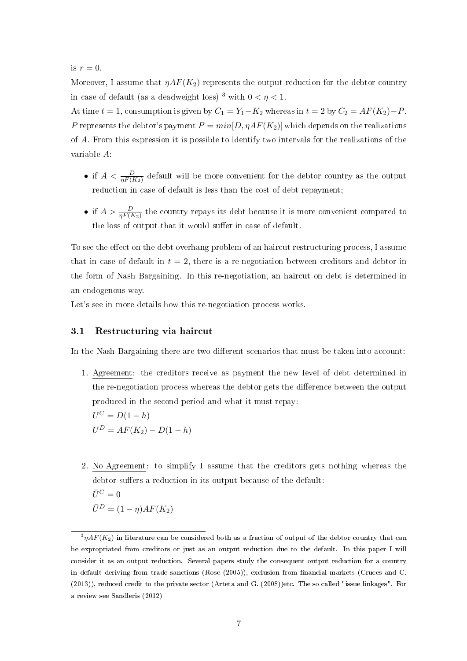is  $r = 0$ .

Moreover, I assume that  $\eta AF(K_2)$  represents the output reduction for the debtor country in case of default (as a deadweight loss) <sup>3</sup> with  $0 < \eta < 1$ .

At time  $t = 1$ , consumption is given by  $C_1 = Y_1 - K_2$  whereas in  $t = 2$  by  $C_2 = AF(K_2) - P$ . P represents the debtor's payment  $P = min[D, \eta AF(K_2)]$  which depends on the realizations of A. From this expression it is possible to identify two intervals for the realizations of the variable A:

- if  $A < \frac{D}{\eta F(K_2)}$  default will be more convenient for the debtor country as the output reduction in case of default is less than the cost of debt repayment;
- if  $A > \frac{D}{\eta F(K_2)}$  the country repays its debt because it is more convenient compared to the loss of output that it would suffer in case of default.

To see the effect on the debt overhang problem of an haircut restructuring process, I assume that in case of default in  $t = 2$ , there is a re-negotiation between creditors and debtor in the form of Nash Bargaining. In this re-negotiation, an haircut on debt is determined in an endogenous way.

Let's see in more details how this re-negotiation process works.

#### 3.1 Restructuring via haircut

In the Nash Bargaining there are two different scenarios that must be taken into account:

- 1. Agreement: the creditors receive as payment the new level of debt determined in the re-negotiation process whereas the debtor gets the difference between the output produced in the second period and what it must repay:  $U^C = D(1 - h)$  $U^D = AF(K_2) - D(1-h)$
- 2. No Agreement: to simplify I assume that the creditors gets nothing whereas the debtor suffers a reduction in its output because of the default:  $\bar{U}^C = 0$  $\bar{U}^D = (1 - \eta)AF(K_2)$

 $\hbox{}^3\eta AF(K_2)$  in literature can be considered both as a fraction of output of the debtor country that can be expropriated from creditors or just as an output reduction due to the default. In this paper I will consider it as an output reduction. Several papers study the consequent output reduction for a country in default deriving from trade sanctions (Rose (2005)), exclusion from nancial markets (Cruces and C. (2013)), reduced credit to the private sector (Arteta and G. (2008))etc. The so called "issue linkages". For a review see Sandleris (2012)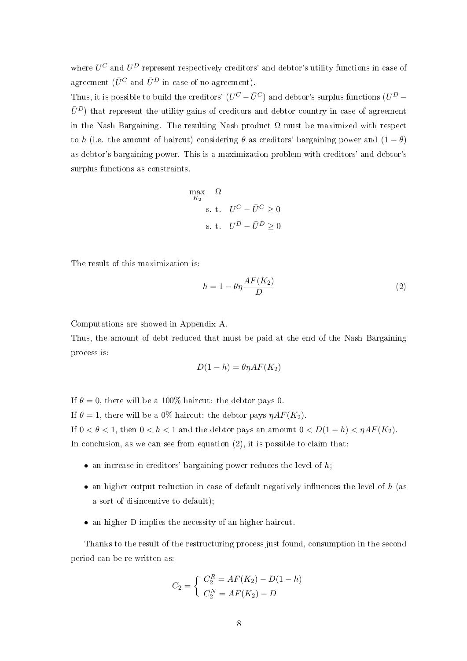where  $U^C$  and  $U^D$  represent respectively creditors' and debtor's utility functions in case of agreement ( $\bar{U}^C$  and  $\bar{U}^D$  in case of no agreement).

Thus, it is possible to build the creditors'  $(U^C - \bar{U}^C)$  and debtor's surplus functions  $(U^D \bar{U}^D$ ) that represent the utility gains of creditors and debtor country in case of agreement in the Nash Bargaining. The resulting Nash product  $\Omega$  must be maximized with respect to h (i.e. the amount of haircut) considering  $\theta$  as creditors' bargaining power and  $(1 - \theta)$ as debtor's bargaining power. This is a maximization problem with creditors' and debtor's surplus functions as constraints.

$$
\begin{aligned}\n\max_{K_2} &\Omega\\
\text{s. t.} &\quad U^C - \bar{U}^C \ge 0\\
\text{s. t.} &\quad U^D - \bar{U}^D \ge 0\n\end{aligned}
$$

The result of this maximization is:

$$
h = 1 - \theta \eta \frac{AF(K_2)}{D} \tag{2}
$$

Computations are showed in Appendix A.

Thus, the amount of debt reduced that must be paid at the end of the Nash Bargaining process is:

$$
D(1-h) = \theta \eta AF(K_2)
$$

If  $\theta = 0$ , there will be a 100% haircut: the debtor pays 0.

If  $\theta = 1$ , there will be a 0% haircut: the debtor pays  $\eta AF(K_2)$ . If  $0 < \theta < 1$ , then  $0 < h < 1$  and the debtor pays an amount  $0 < D(1-h) < \eta AF(K_2)$ . In conclusion, as we can see from equation  $(2)$ , it is possible to claim that:

- an increase in creditors' bargaining power reduces the level of  $h$ ;
- an higher output reduction in case of default negatively influences the level of  $h$  (as a sort of disincentive to default);
- an higher D implies the necessity of an higher haircut.

Thanks to the result of the restructuring process just found, consumption in the second period can be re-written as:

$$
C_2 = \begin{cases} C_2^R = AF(K_2) - D(1 - h) \\ C_2^N = AF(K_2) - D \end{cases}
$$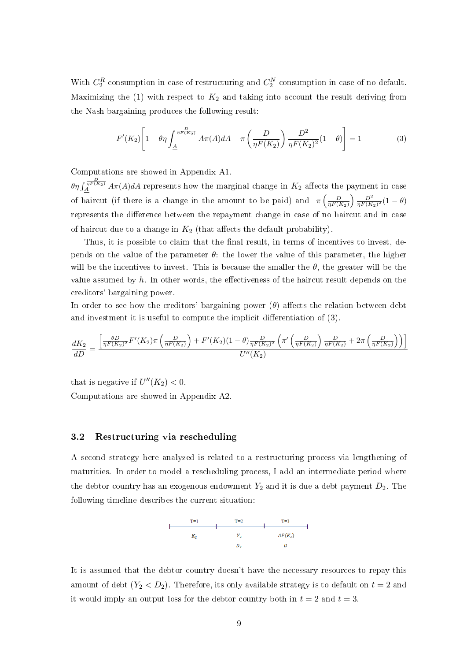With  $C_2^R$  consumption in case of restructuring and  $C_2^N$  consumption in case of no default. Maximizing the (1) with respect to  $K_2$  and taking into account the result deriving from the Nash bargaining produces the following result:

$$
F'(K_2)\left[1 - \theta \eta \int_{\underline{A}}^{\frac{D}{\eta F(K_2)}} A \pi(A) dA - \pi \left(\frac{D}{\eta F(K_2)}\right) \frac{D^2}{\eta F(K_2)^2} (1 - \theta)\right] = 1
$$
 (3)

Computations are showed in Appendix A1.

 $\theta \eta \int_{A}^{\frac{D}{n^{F(K_2)}}} A \pi(A) dA$  represents how the marginal change in  $K_2$  affects the payment in case of haircut (if there is a change in the amount to be paid) and  $\pi \left( \frac{D}{\eta F(K_2)} \right) \frac{D^2}{\eta F(K_2)^2} (1 - \theta)$ represents the difference between the repayment change in case of no haircut and in case of haircut due to a change in  $K_2$  (that affects the default probability).

Thus, it is possible to claim that the final result, in terms of incentives to invest, depends on the value of the parameter  $\theta$ : the lower the value of this parameter, the higher will be the incentives to invest. This is because the smaller the  $\theta$ , the greater will be the value assumed by  $h$ . In other words, the effectiveness of the haircut result depends on the creditors' bargaining power.

In order to see how the creditors' bargaining power  $(\theta)$  affects the relation between debt and investment it is useful to compute the implicit differentiation of  $(3)$ .

$$
\frac{dK_2}{dD} = \frac{\left[\frac{\theta D}{\eta F(K_2)^2} F'(K_2) \pi \left(\frac{D}{\eta F(K_2)}\right) + F'(K_2)(1-\theta) \frac{D}{\eta F(K_2)^2} \left(\pi' \left(\frac{D}{\eta F(K_2)}\right) \frac{D}{\eta F(K_2)} + 2\pi \left(\frac{D}{\eta F(K_2)}\right)\right)\right]}{U''(K_2)}
$$

that is negative if  $U''(K_2) < 0$ . Computations are showed in Appendix A2.

#### 3.2 Restructuring via rescheduling

A second strategy here analyzed is related to a restructuring process via lengthening of maturities. In order to model a rescheduling process, I add an intermediate period where the debtor country has an exogenous endowment  $Y_2$  and it is due a debt payment  $D_2$ . The following timeline describes the current situation:



It is assumed that the debtor country doesn't have the necessary resources to repay this amount of debt  $(Y_2 < D_2)$ . Therefore, its only available strategy is to default on  $t = 2$  and it would imply an output loss for the debtor country both in  $t = 2$  and  $t = 3$ .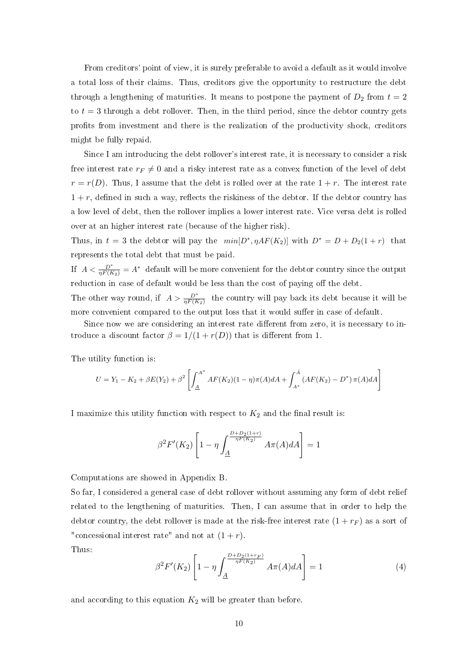From creditors' point of view, it is surely preferable to avoid a default as it would involve a total loss of their claims. Thus, creditors give the opportunity to restructure the debt through a lengthening of maturities. It means to postpone the payment of  $D_2$  from  $t = 2$ to  $t = 3$  through a debt rollover. Then, in the third period, since the debtor country gets prots from investment and there is the realization of the productivity shock, creditors might be fully repaid.

Since I am introducing the debt rollover's interest rate, it is necessary to consider a risk free interest rate  $r_F \neq 0$  and a risky interest rate as a convex function of the level of debt  $r = r(D)$ . Thus, I assume that the debt is rolled over at the rate  $1 + r$ . The interest rate  $1 + r$ , defined in such a way, reflects the riskiness of the debtor. If the debtor country has a low level of debt, then the rollover implies a lower interest rate. Vice versa debt is rolled over at an higher interest rate (because of the higher risk).

Thus, in  $t = 3$  the debtor will pay the  $min[D^*, \eta AF(K_2)]$  with  $D^* = D + D_2(1+r)$  that represents the total debt that must be paid.

If  $A < \frac{D^*}{\eta F(K_2)} = A^*$  default will be more convenient for the debtor country since the output reduction in case of default would be less than the cost of paying off the debt.

The other way round, if  $A > \frac{D^*}{\eta F(K_2)}$  the country will pay back its debt because it will be more convenient compared to the output loss that it would suffer in case of default.

Since now we are considering an interest rate different from zero, it is necessary to introduce a discount factor  $\beta = 1/(1 + r(D))$  that is different from 1.

The utility function is:

$$
U = Y_1 - K_2 + \beta E(Y_2) + \beta^2 \left[ \int_{\underline{A}}^{A^*} AF(K_2)(1-\eta)\pi(A)dA + \int_{A^*}^{\overline{A}} (AF(K_2) - D^*) \pi(A)dA \right]
$$

I maximize this utility function with respect to  $K_2$  and the final result is:

$$
\beta^2 F'(K_2) \left[ 1 - \eta \int_{\underline{A}}^{\frac{D + D_2(1+r)}{\eta F(K_2)}} A \pi(A) dA \right] = 1
$$

Computations are showed in Appendix B.

So far, I considered a general case of debt rollover without assuming any form of debt relief related to the lengthening of maturities. Then, I can assume that in order to help the debtor country, the debt rollover is made at the risk-free interest rate  $(1 + r_F)$  as a sort of "concessional interest rate" and not at  $(1+r)$ .

Thus:

$$
\beta^2 F'(K_2) \left[ 1 - \eta \int_{\underline{A}}^{\frac{D + D_2(1 + r_F)}{\eta F(K_2)}} A \pi(A) dA \right] = 1 \tag{4}
$$

and according to this equation  $K_2$  will be greater than before.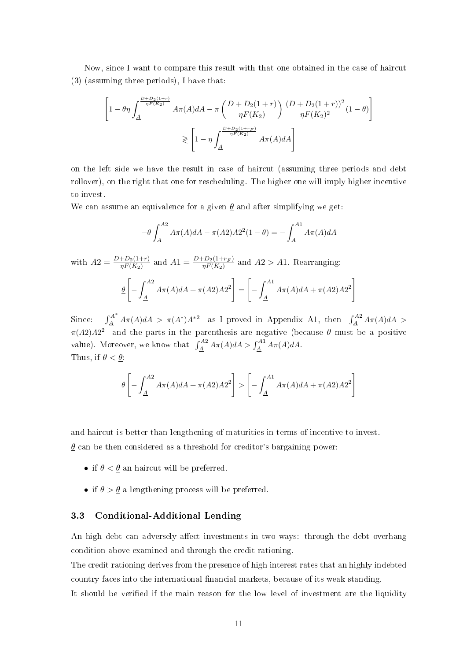Now, since I want to compare this result with that one obtained in the case of haircut (3) (assuming three periods), I have that:

$$
\begin{aligned} \left[1-\theta\eta\int_{\underline{A}}^{\frac{D+D_2(1+r)}{\eta F(K_2)}}A\pi(A)dA -\pi\left(\frac{D+D_2(1+r)}{\eta F(K_2)}\right)\frac{(D+D_2(1+r))^2}{\eta F(K_2)^2}(1-\theta)\right] \\ \geqslant \left[1-\eta\int_{\underline{A}}^{\frac{D+D_2(1+r_F)}{\eta F(K_2)}}A\pi(A)dA\right] \end{aligned}
$$

on the left side we have the result in case of haircut (assuming three periods and debt rollover), on the right that one for rescheduling. The higher one will imply higher incentive to invest.

We can assume an equivalence for a given  $\theta$  and after simplifying we get:

$$
-\underline{\theta} \int_{\underline{A}}^{A2} A \pi(A) dA - \pi(A2) A 2^2 (1 - \underline{\theta}) = - \int_{\underline{A}}^{A1} A \pi(A) dA
$$

with  $A2 = \frac{D + D_2(1+r)}{\eta F(K_2)}$  and  $A1 = \frac{D + D_2(1+r_F)}{\eta F(K_2)}$  and  $A2 > A1$ . Rearranging: θ  $\sqrt{ }$  $-\int^{A2}$  $\overline{A}$  $A\pi(A)dA + \pi(A2)A2^{2}$ =  $\sqrt{ }$  $-\int^{A1}$  $\overline{A}$  $A\pi(A)dA + \pi(A2)A2^{2}$ 

Since:  $\int_A^{A^*} A \pi(A) dA > \pi(A^*) A^{*2}$  as I proved in Appendix A1, then  $\int_A^{A2} A \pi(A) dA >$  $\pi(A2)A2^2$  and the parts in the parenthesis are negative (because  $\theta$  must be a positive value). Moreover, we know that  $\int_A^{A2} A\pi(A) dA > \int_A^{A1} A\pi(A) dA$ . Thus, if  $\theta < \underline{\theta}$ :

$$
\theta \left[ -\int_{\underline{A}}^{\underline{A}2} A \pi(A) dA + \pi(A2) A 2^2 \right] > \left[ -\int_{\underline{A}}^{\underline{A}1} A \pi(A) dA + \pi(A2) A 2^2 \right]
$$

and haircut is better than lengthening of maturities in terms of incentive to invest.  $\theta$  can be then considered as a threshold for creditor's bargaining power:

- if  $\theta < \theta$  an haircut will be preferred.
- if  $\theta > \underline{\theta}$  a lengthening process will be preferred.

#### 3.3 Conditional-Additional Lending

An high debt can adversely affect investments in two ways: through the debt overhang condition above examined and through the credit rationing.

The credit rationing derives from the presence of high interest rates that an highly indebted country faces into the international nancial markets, because of its weak standing.

It should be verified if the main reason for the low level of investment are the liquidity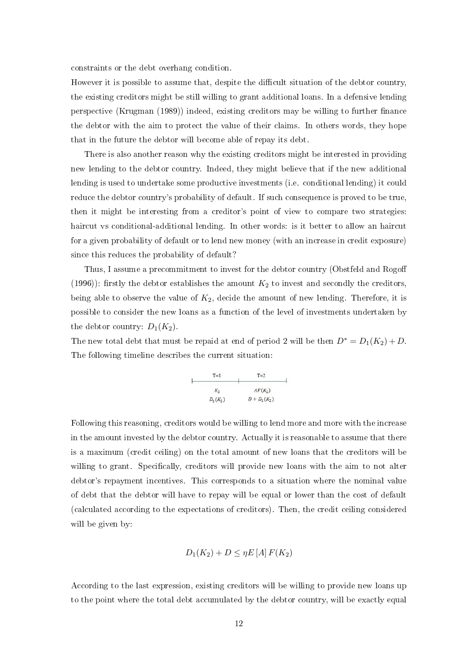constraints or the debt overhang condition.

However it is possible to assume that, despite the difficult situation of the debtor country. the existing creditors might be still willing to grant additional loans. In a defensive lending perspective (Krugman (1989)) indeed, existing creditors may be willing to further finance the debtor with the aim to protect the value of their claims. In others words, they hope that in the future the debtor will become able of repay its debt.

There is also another reason why the existing creditors might be interested in providing new lending to the debtor country. Indeed, they might believe that if the new additional lending is used to undertake some productive investments (i.e. conditional lending) it could reduce the debtor country's probability of default. If such consequence is proved to be true, then it might be interesting from a creditor's point of view to compare two strategies: haircut vs conditional-additional lending. In other words: is it better to allow an haircut for a given probability of default or to lend new money (with an increase in credit exposure) since this reduces the probability of default?

Thus, I assume a precommitment to invest for the debtor country (Obstfeld and Rogoff (1996)): firstly the debtor establishes the amount  $K_2$  to invest and secondly the creditors, being able to observe the value of  $K_2$ , decide the amount of new lending. Therefore, it is possible to consider the new loans as a function of the level of investments undertaken by the debtor country:  $D_1(K_2)$ .

The new total debt that must be repaid at end of period 2 will be then  $D^* = D_1(K_2) + D$ . The following timeline describes the current situation:

$$
\begin{array}{c|c}\nT=1 & T=2 \\
\hline\nK_2 & AF(K_2) \\
D_1(K_2) & D+D_1(K_2)\n\end{array}
$$

Following this reasoning, creditors would be willing to lend more and more with the increase in the amount invested by the debtor country. Actually it is reasonable to assume that there is a maximum (credit ceiling) on the total amount of new loans that the creditors will be willing to grant. Specifically, creditors will provide new loans with the aim to not alter debtor's repayment incentives. This corresponds to a situation where the nominal value of debt that the debtor will have to repay will be equal or lower than the cost of default (calculated according to the expectations of creditors). Then, the credit ceiling considered will be given by:

$$
D_1(K_2) + D \leq \eta E\left[A\right] F(K_2)
$$

According to the last expression, existing creditors will be willing to provide new loans up to the point where the total debt accumulated by the debtor country, will be exactly equal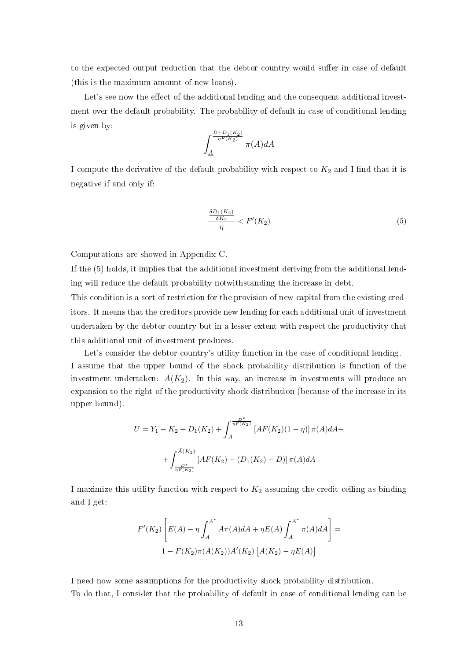to the expected output reduction that the debtor country would suffer in case of default (this is the maximum amount of new loans).

Let's see now the effect of the additional lending and the consequent additional investment over the default probability. The probability of default in case of conditional lending is given by:

$$
\int_{\underline{A}}^{\frac{D+D_1(K_2)}{\eta F(K_2)}} \pi(A) dA
$$

I compute the derivative of the default probability with respect to  $K_2$  and I find that it is negative if and only if:

$$
\frac{\frac{\delta D_1(K_2)}{\delta K_2}}{\eta} < F'(K_2) \tag{5}
$$

Computations are showed in Appendix C.

If the (5) holds, it implies that the additional investment deriving from the additional lending will reduce the default probability notwithstanding the increase in debt.

This condition is a sort of restriction for the provision of new capital from the existing creditors. It means that the creditors provide new lending for each additional unit of investment undertaken by the debtor country but in a lesser extent with respect the productivity that this additional unit of investment produces.

Let's consider the debtor country's utility function in the case of conditional lending. I assume that the upper bound of the shock probability distribution is function of the investment undertaken:  $\bar{A}(K_2)$ . In this way, an increase in investments will produce an expansion to the right of the productivity shock distribution (because of the increase in its upper bound).

$$
U = Y_1 - K_2 + D_1(K_2) + \int_{\underline{A}}^{\frac{D^*}{\eta F(K_2)}} [AF(K_2)(1 - \eta)] \pi(A) dA +
$$

$$
+ \int_{\frac{D^*}{\eta F(K_2)}}^{\bar{A}(K_2)} [AF(K_2) - (D_1(K_2) + D)] \pi(A) dA
$$

I maximize this utility function with respect to  $K_2$  assuming the credit ceiling as binding and I get:

$$
F'(K_2)\left[E(A) - \eta \int_{\underline{A}}^{A^*} A\pi(A)dA + \eta E(A) \int_{\underline{A}}^{A^*} \pi(A)dA\right] =
$$
  
1 - F(K\_2)\pi(\bar{A}(K\_2))\bar{A}'(K\_2) [\bar{A}(K\_2) - \eta E(A)]

I need now some assumptions for the productivity shock probability distribution. To do that, I consider that the probability of default in case of conditional lending can be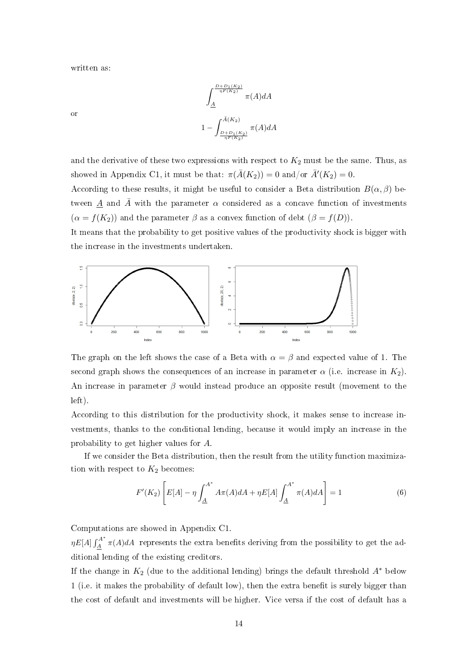written as:

or

$$
\int_{\underline{A}}^{\frac{D+D_1(K_2)}{\eta F(K_2)}} \pi(A) dA
$$
  

$$
1 - \int_{\frac{D+D_1(K_2)}{\eta F(K_2)}}^{\bar{A}(K_2)} \pi(A) dA
$$

and the derivative of these two expressions with respect to  $K_2$  must be the same. Thus, as showed in Appendix C1, it must be that:  $\pi(\bar{A}(K_2)) = 0$  and/or  $\bar{A}'(K_2) = 0$ .

According to these results, it might be useful to consider a Beta distribution  $B(\alpha, \beta)$  between  $\underline{A}$  and  $\overline{A}$  with the parameter  $\alpha$  considered as a concave function of investments  $(\alpha = f(K_2))$  and the parameter  $\beta$  as a convex function of debt  $(\beta = f(D))$ .

It means that the probability to get positive values of the productivity shock is bigger with the increase in the investments undertaken.



The graph on the left shows the case of a Beta with  $\alpha = \beta$  and expected value of 1. The second graph shows the consequences of an increase in parameter  $\alpha$  (i.e. increase in  $K_2$ ). An increase in parameter  $\beta$  would instead produce an opposite result (movement to the left).

According to this distribution for the productivity shock, it makes sense to increase investments, thanks to the conditional lending, because it would imply an increase in the probability to get higher values for A.

If we consider the Beta distribution, then the result from the utility function maximization with respect to  $K_2$  becomes:

$$
F'(K_2)\left[E[A] - \eta \int_{\underline{A}}^{A^*} A\pi(A)dA + \eta E[A] \int_{\underline{A}}^{A^*} \pi(A)dA\right] = 1
$$
 (6)

Computations are showed in Appendix C1.

 $\eta E[A] \int_A^{A^*}$  $\frac{A}{A}$   $\pi(A)dA$  represents the extra benefits deriving from the possibility to get the additional lending of the existing creditors.

If the change in  $K_2$  (due to the additional lending) brings the default threshold  $A^*$  below 1 (i.e. it makes the probability of default low), then the extra benefit is surely bigger than the cost of default and investments will be higher. Vice versa if the cost of default has a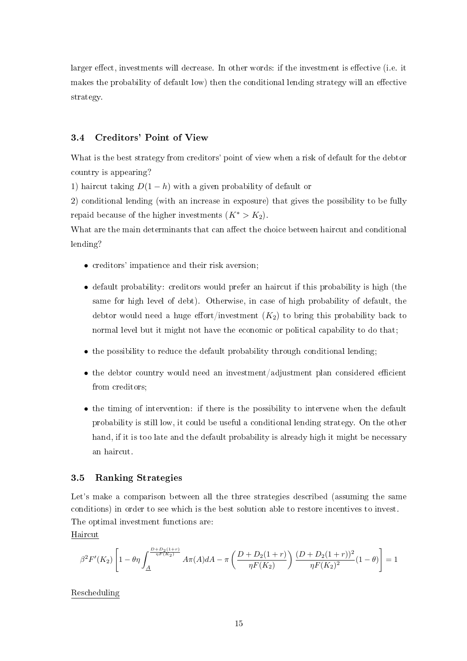larger effect, investments will decrease. In other words: if the investment is effective (i.e. it makes the probability of default low) then the conditional lending strategy will an effective strategy.

#### 3.4 Creditors' Point of View

What is the best strategy from creditors' point of view when a risk of default for the debtor country is appearing?

1) haircut taking  $D(1-h)$  with a given probability of default or

2) conditional lending (with an increase in exposure) that gives the possibility to be fully repaid because of the higher investments  $(K^* > K_2)$ .

What are the main determinants that can affect the choice between haircut and conditional lending?

- creditors' impatience and their risk aversion;
- default probability: creditors would prefer an haircut if this probability is high (the same for high level of debt). Otherwise, in case of high probability of default, the debtor would need a huge effort/investment  $(K_2)$  to bring this probability back to normal level but it might not have the economic or political capability to do that;
- the possibility to reduce the default probability through conditional lending;
- $\bullet$  the debtor country would need an investment/adjustment plan considered efficient from creditors;
- the timing of intervention: if there is the possibility to intervene when the default probability is still low, it could be useful a conditional lending strategy. On the other hand, if it is too late and the default probability is already high it might be necessary an haircut.

#### 3.5 Ranking Strategies

Let's make a comparison between all the three strategies described (assuming the same conditions) in order to see which is the best solution able to restore incentives to invest. The optimal investment functions are:

Haircut

$$
\beta^2 F'(K_2) \left[1 - \theta \eta \int_{\underline{A}}^{\frac{D + D_2(1+r)}{\eta F(K_2)}} A \pi(A) dA - \pi \left(\frac{D + D_2(1+r)}{\eta F(K_2)}\right) \frac{(D + D_2(1+r))^2}{\eta F(K_2)^2} (1-\theta) \right] = 1
$$

#### Rescheduling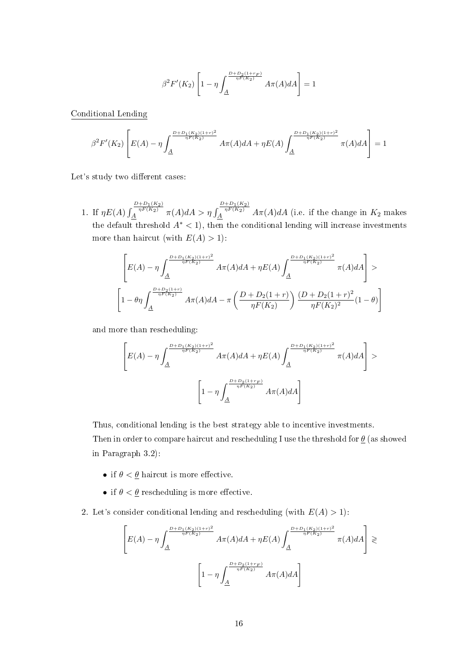$$
\beta^2 F'(K_2)\left[1-\eta\int_{\underline{A}}^{\frac{D+D_2(1+r_F)}{\eta F(K_2)}}A\pi(A)dA\right]=1
$$

Conditional Lending

$$
\beta^2 F'(K_2)\left[E(A)-\eta\int_{\underline{A}}^{\frac{D+D_1(K_2)(1+r)^2}{\eta F(K_2)}}A\pi(A)dA+\eta E(A)\int_{\underline{A}}^{\frac{D+D_1(K_2)(1+r)^2}{\eta F(K_2)}}\pi(A)dA\right]=1
$$

Let's study two different cases:

1. If  $\eta E(A)$  $\frac{D+D_1(K_2)}{\eta F(K_2)}$   $\pi(A)dA > \eta \int$  $\frac{D+D_1(K_2)}{\eta F(K_2)}$   $A\pi(A)dA$  (i.e. if the change in  $K_2$  makes the default threshold  $A^*$  < 1), then the conditional lending will increase investments more than haircut (with  $E(A) > 1$ ):

$$
\begin{bmatrix} E(A)-\eta\int_{\underline{A}}^{\frac{D+D_1(K_2)(1+r)^2}{\eta F(K_2)}} A\pi(A)dA+\eta E(A)\int_{\underline{A}}^{\frac{D+D_1(K_2)(1+r)^2}{\eta F(K_2)}} \pi(A)dA \\ \left[1-\theta\eta\int_{\underline{A}}^{\frac{D+D_2(1+r)}{\eta F(K_2)}} A\pi(A)dA-\pi\left(\frac{D+D_2(1+r)}{\eta F(K_2)}\right)\frac{(D+D_2(1+r)^2}{\eta F(K_2)^2}(1-\theta)\right] \end{bmatrix}
$$

and more than rescheduling:

$$
\left[E(A) - \eta \int_{\underline{A}}^{\frac{D + D_1(K_2)(1+r)^2}{\eta F(K_2)}} A\pi(A) dA + \eta E(A) \int_{\underline{A}}^{\frac{D + D_1(K_2)(1+r)^2}{\eta F(K_2)}} \pi(A) dA \right] > \left[1 - \eta \int_{\underline{A}}^{\frac{D + D_2(1+r_F)}{\eta F(K_2)}} A\pi(A) dA \right]
$$

Thus, conditional lending is the best strategy able to incentive investments. Then in order to compare haircut and rescheduling I use the threshold for  $\theta$  (as showed in Paragraph 3.2):

- if  $\theta < \underline{\theta}$  haircut is more effective.
- if  $\theta < \underline{\theta}$  rescheduling is more effective.
- 2. Let's consider conditional lending and rescheduling (with  $E(A) > 1$ ):

$$
\left[E(A) - \eta \int_{\underline{A}}^{\frac{D + D_1(K_2)(1+r)^2}{\eta F(K_2)}} A\pi(A) dA + \eta E(A) \int_{\underline{A}}^{\frac{D + D_1(K_2)(1+r)^2}{\eta F(K_2)}} \pi(A) dA\right] \geq \left[1 - \eta \int_{\underline{A}}^{\frac{D + D_2(1+r_F)}{\eta F(K_2)}} A\pi(A) dA\right]
$$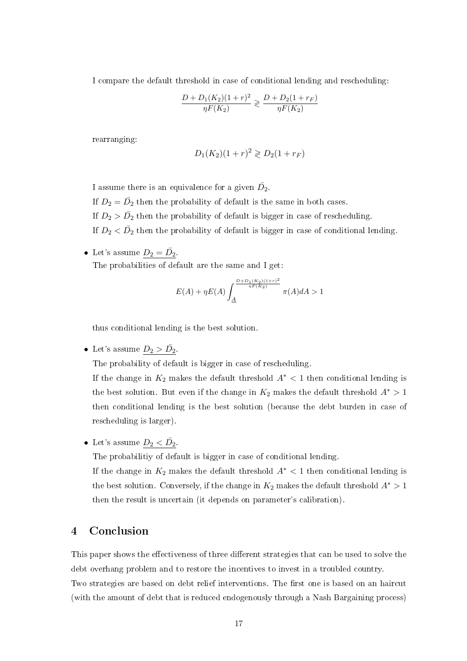I compare the default threshold in case of conditional lending and rescheduling:

$$
\frac{D + D_1(K_2)(1+r)^2}{\eta F(K_2)} \geq \frac{D + D_2(1+r_F)}{\eta F(K_2)}
$$

rearranging:

$$
D_1(K_2)(1+r)^2 \geq D_2(1+r_F)
$$

I assume there is an equivalence for a given  $\bar{D_2}$ .

If  $D_2 = \bar{D_2}$  then the probability of default is the same in both cases.

If  $D_2 > \bar{D_2}$  then the probability of default is bigger in case of rescheduling.

If  $D_2 < \bar{D_2}$  then the probability of default is bigger in case of conditional lending.

• Let's assume  $D_2 = \bar{D_2}$ . The probabilities of default are the same and I get:

$$
E(A) + \eta E(A) \int_{\underline{A}}^{\frac{D + D_1(K_2)(1+r)^2}{\eta F(K_2)}} \pi(A) dA > 1
$$

thus conditional lending is the best solution.

• Let's assume  $D_2 > \bar{D_2}$ .

The probability of default is bigger in case of rescheduling.

If the change in  $K_2$  makes the default threshold  $A^*$  < 1 then conditional lending is the best solution. But even if the change in  $K_2$  makes the default threshold  $A^* > 1$ then conditional lending is the best solution (because the debt burden in case of rescheduling is larger).

• Let's assume  $D_2 < \bar{D_2}$ .

The probabilitiy of default is bigger in case of conditional lending.

If the change in  $K_2$  makes the default threshold  $A^*$  < 1 then conditional lending is the best solution. Conversely, if the change in  $K_2$  makes the default threshold  $A^* > 1$ then the result is uncertain (it depends on parameter's calibration).

#### 4 Conclusion

This paper shows the effectiveness of three different strategies that can be used to solve the debt overhang problem and to restore the incentives to invest in a troubled country. Two strategies are based on debt relief interventions. The first one is based on an haircut (with the amount of debt that is reduced endogenously through a Nash Bargaining process)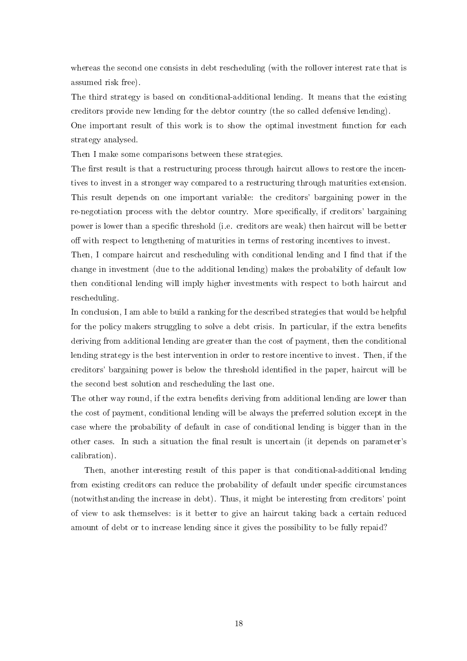whereas the second one consists in debt rescheduling (with the rollover interest rate that is assumed risk free).

The third strategy is based on conditional-additional lending. It means that the existing creditors provide new lending for the debtor country (the so called defensive lending).

One important result of this work is to show the optimal investment function for each strategy analysed.

Then I make some comparisons between these strategies.

The first result is that a restructuring process through haircut allows to restore the incentives to invest in a stronger way compared to a restructuring through maturities extension. This result depends on one important variable: the creditors' bargaining power in the re-negotiation process with the debtor country. More specifically, if creditors' bargaining power is lower than a specific threshold (i.e. creditors are weak) then haircut will be better off with respect to lengthening of maturities in terms of restoring incentives to invest.

Then, I compare haircut and rescheduling with conditional lending and I find that if the change in investment (due to the additional lending) makes the probability of default low then conditional lending will imply higher investments with respect to both haircut and rescheduling.

In conclusion, I am able to build a ranking for the described strategies that would be helpful for the policy makers struggling to solve a debt crisis. In particular, if the extra benefits deriving from additional lending are greater than the cost of payment, then the conditional lending strategy is the best intervention in order to restore incentive to invest. Then, if the creditors' bargaining power is below the threshold identied in the paper, haircut will be the second best solution and rescheduling the last one.

The other way round, if the extra benefits deriving from additional lending are lower than the cost of payment, conditional lending will be always the preferred solution except in the case where the probability of default in case of conditional lending is bigger than in the other cases. In such a situation the final result is uncertain (it depends on parameter's calibration).

Then, another interesting result of this paper is that conditional-additional lending from existing creditors can reduce the probability of default under specific circumstances (notwithstanding the increase in debt). Thus, it might be interesting from creditors' point of view to ask themselves: is it better to give an haircut taking back a certain reduced amount of debt or to increase lending since it gives the possibility to be fully repaid?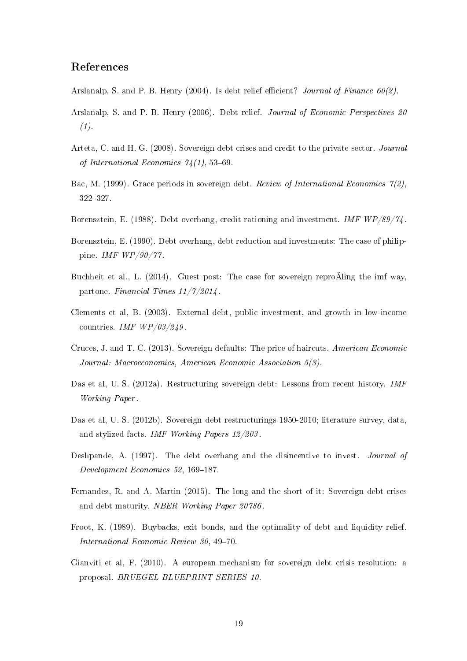#### References

- Arslanalp, S. and P. B. Henry (2004). Is debt relief efficient? Journal of Finance  $60(2)$ .
- Arslanalp, S. and P. B. Henry (2006). Debt relief. Journal of Economic Perspectives 20  $(1).$
- Arteta, C. and H. G. (2008). Sovereign debt crises and credit to the private sector. Journal of International Economics  $74(1)$ , 53-69.
- Bac, M. (1999). Grace periods in sovereign debt. Review of International Economics  $\gamma(z)$ , 322327.
- Borensztein, E. (1988). Debt overhang, credit rationing and investment. IMF  $WP/89/74$ .
- Borensztein, E. (1990). Debt overhang, debt reduction and investments: The case of philippine. IMF WP/90/77 .
- Buchheit et al., L. (2014). Guest post: The case for sovereign reproÃling the imf way, partone. Financial Times 11/7/2014 .
- Clements et al, B. (2003). External debt, public investment, and growth in low-income countries. IMF WP/03/249 .
- Cruces, J. and T. C. (2013). Sovereign defaults: The price of haircuts. American Economic Journal: Macroeconomics, American Economic Association 5(3).
- Das et al, U. S. (2012a). Restructuring sovereign debt: Lessons from recent history. IMF Working Paper .
- Das et al, U. S. (2012b). Sovereign debt restructurings 1950-2010; literature survey, data, and stylized facts. IMF Working Papers 12/203 .
- Deshpande, A. (1997). The debt overhang and the disincentive to invest. Journal of Development Economics 52, 169-187.
- Fernandez, R. and A. Martin (2015). The long and the short of it: Sovereign debt crises and debt maturity. NBER Working Paper 20786 .
- Froot, K. (1989). Buybacks, exit bonds, and the optimality of debt and liquidity relief. International Economic Review  $30, 49-70$ .
- Gianviti et al, F. (2010). A european mechanism for sovereign debt crisis resolution: a proposal. BRUEGEL BLUEPRINT SERIES 10.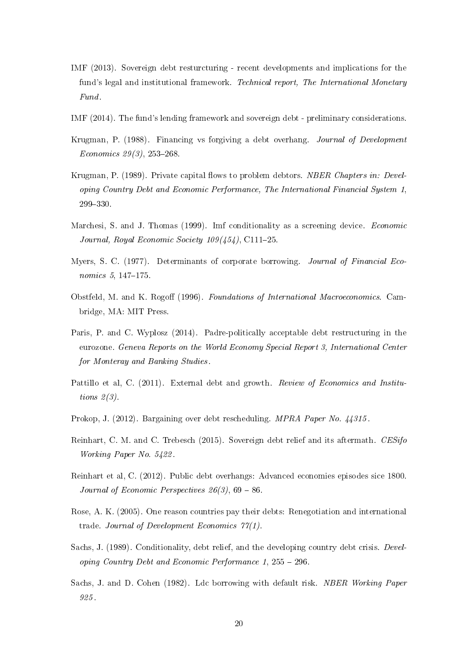- IMF (2013). Sovereign debt resturcturing recent developments and implications for the fund's legal and institutional framework. Technical report, The International Monetary Fund.
- IMF (2014). The fund's lending framework and sovereign debt preliminary considerations.
- Krugman, P. (1988). Financing vs forgiving a debt overhang. Journal of Development Economics  $29(3)$ ,  $253-268$ .
- Krugman, P. (1989). Private capital flows to problem debtors. NBER Chapters in: Developing Country Debt and Economic Performance, The International Financial System 1, 299330.
- Marchesi, S. and J. Thomas (1999). Imf conditionality as a screening device. Economic Journal, Royal Economic Society  $109(454)$ , C111-25.
- Myers, S. C. (1977). Determinants of corporate borrowing. Journal of Financial Economics  $5, 147-175$ .
- Obstfeld, M. and K. Rogoff (1996). Foundations of International Macroeconomics. Cambridge, MA: MIT Press.
- Paris, P. and C. Wyplosz (2014). Padre-politically acceptable debt restructuring in the eurozone. Geneva Reports on the World Economy Special Report 3, International Center for Monteray and Banking Studies.
- Pattillo et al. C. (2011). External debt and growth. Review of Economics and Institutions  $2(3)$ .
- Prokop, J. (2012). Bargaining over debt rescheduling. MPRA Paper No. 44315 .
- Reinhart, C. M. and C. Trebesch (2015). Sovereign debt relief and its aftermath. CESifo Working Paper No. 5422 .
- Reinhart et al, C. (2012). Public debt overhangs: Advanced economies episodes sice 1800. Journal of Economic Perspectives  $26(3)$ , 69 – 86.
- Rose, A. K. (2005). One reason countries pay their debts: Renegotiation and international trade. Journal of Development Economics 77(1).
- Sachs, J. (1989). Conditionality, debt relief, and the developing country debt crisis. Developing Country Debt and Economic Performance 1,  $255 - 296$ .
- Sachs, J. and D. Cohen (1982). Ldc borrowing with default risk. NBER Working Paper 925 .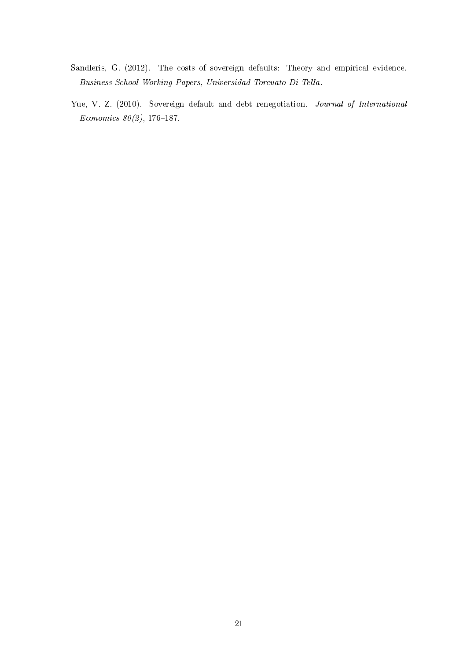- Sandleris, G. (2012). The costs of sovereign defaults: Theory and empirical evidence. Business School Working Papers, Universidad Torcuato Di Tella.
- Yue, V. Z. (2010). Sovereign default and debt renegotiation. Journal of International Economics  $80(2)$ , 176-187.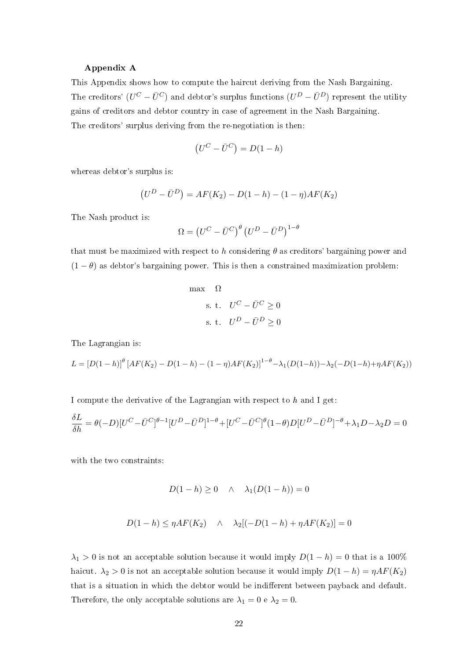#### Appendix A

This Appendix shows how to compute the haircut deriving from the Nash Bargaining. The creditors'  $(U^C - \bar{U}^C)$  and debtor's surplus functions  $(U^D - \bar{U}^D)$  represent the utility gains of creditors and debtor country in case of agreement in the Nash Bargaining. The creditors' surplus deriving from the re-negotiation is then:

$$
(U^C - \bar{U}^C) = D(1 - h)
$$

whereas debtor's surplus is:

$$
(UD - \bar{U}D) = AF(K2) - D(1 - h) - (1 - \eta)AF(K2)
$$

The Nash product is:

$$
\Omega = \left( U^C - \bar{U}^C \right)^{\theta} \left( U^D - \bar{U}^D \right)^{1-\theta}
$$

that must be maximized with respect to h considering  $\theta$  as creditors' bargaining power and  $(1 - \theta)$  as debtor's bargaining power. This is then a constrained maximization problem:

max 
$$
\Omega
$$
  
s. t.  $U^C - \bar{U}^C \ge 0$   
s. t.  $U^D - \bar{U}^D \ge 0$ 

The Lagrangian is:

$$
L = [D(1-h)]^{\theta} \left[ AF(K_2) - D(1-h) - (1-\eta)AF(K_2) \right]^{1-\theta} - \lambda_1 (D(1-h)) - \lambda_2 (-D(1-h) + \eta AF(K_2))
$$

I compute the derivative of the Lagrangian with respect to  $h$  and I get:

$$
\frac{\delta L}{\delta h} = \theta(-D)[U^C - \bar{U}^C]^{\theta - 1}[U^D - \bar{U}^D]^{1 - \theta} + [U^C - \bar{U}^C]^{\theta}(1 - \theta)D[U^D - \bar{U}^D]^{-\theta} + \lambda_1 D - \lambda_2 D = 0
$$

with the two constraints:

$$
D(1-h) \ge 0 \quad \wedge \quad \lambda_1(D(1-h)) = 0
$$

$$
D(1-h) \le \eta AF(K_2) \quad \wedge \quad \lambda_2[(-D(1-h) + \eta AF(K_2)] = 0
$$

 $\lambda_1 > 0$  is not an acceptable solution because it would imply  $D(1-h) = 0$  that is a 100% haicut.  $\lambda_2 > 0$  is not an acceptable solution because it would imply  $D(1 - h) = \eta A F(K_2)$ that is a situation in which the debtor would be indifferent between payback and default. Therefore, the only acceptable solutions are  $\lambda_1 = 0$  e  $\lambda_2 = 0$ .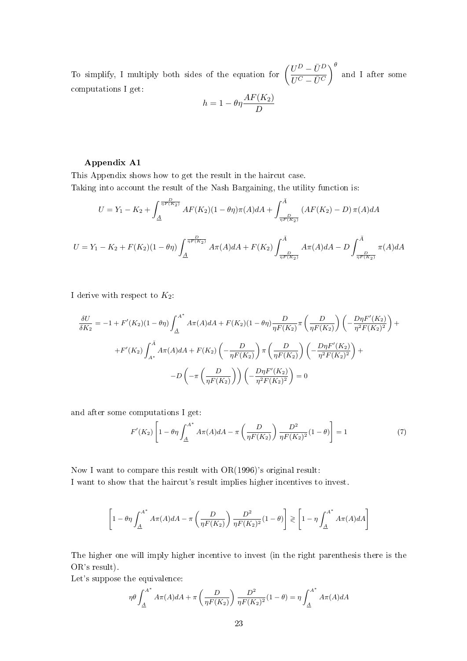To simplify, I multiply both sides of the equation for  $\left(\frac{U^D - \bar{U}^D}{\bar{U}^C - \bar{U}^C}\right)$  $\overline{U^C-\bar{U}^C}$  $\int_{0}^{\theta}$  and I after some computations I get:

$$
h = 1 - \theta \eta \frac{AF(K_2)}{D}
$$

#### Appendix A1

This Appendix shows how to get the result in the haircut case. Taking into account the result of the Nash Bargaining, the utility function is:

$$
U = Y_1 - K_2 + \int_{\underline{A}}^{\frac{D}{\eta F(K_2)}} AF(K_2)(1 - \theta \eta) \pi(A) dA + \int_{\frac{D}{\eta F(K_2)}}^{\overline{A}} (AF(K_2) - D) \pi(A) dA
$$
  

$$
U = Y_1 - K_2 + F(K_2)(1 - \theta \eta) \int_{\underline{A}}^{\frac{D}{\eta F(K_2)}} A \pi(A) dA + F(K_2) \int_{\frac{D}{\eta F(K_2)}}^{\overline{A}} A \pi(A) dA - D \int_{\frac{D}{\eta F(K_2)}}^{\overline{A}} \pi(A) dA
$$

I derive with respect to  $K_2$ :

$$
\frac{\delta U}{\delta K_2} = -1 + F'(K_2)(1 - \theta \eta) \int_{\Delta}^{A^*} A\pi(A) dA + F(K_2)(1 - \theta \eta) \frac{D}{\eta F(K_2)} \pi \left(\frac{D}{\eta F(K_2)}\right) \left(-\frac{D\eta F'(K_2)}{\eta^2 F(K_2)^2}\right) +
$$

$$
+ F'(K_2) \int_{A^*}^{A} A\pi(A) dA + F(K_2) \left(-\frac{D}{\eta F(K_2)}\right) \pi \left(\frac{D}{\eta F(K_2)}\right) \left(-\frac{D\eta F'(K_2)}{\eta^2 F(K_2)^2}\right) +
$$

$$
-D \left(-\pi \left(\frac{D}{\eta F(K_2)}\right)\right) \left(-\frac{D\eta F'(K_2)}{\eta^2 F(K_2)^2}\right) = 0
$$

and after some computations I get:

$$
F'(K_2)\left[1-\theta\eta\int_{\underline{A}}^{A^*}A\pi(A)dA - \pi\left(\frac{D}{\eta F(K_2)}\right)\frac{D^2}{\eta F(K_2)^2}(1-\theta)\right] = 1\tag{7}
$$

Now I want to compare this result with OR(1996)'s original result:

I want to show that the haircut's result implies higher incentives to invest.

$$
\left[1 - \theta \eta \int_{\underline{A}}^{A^*} A \pi(A) dA - \pi \left(\frac{D}{\eta F(K_2)}\right) \frac{D^2}{\eta F(K_2)^2} (1 - \theta)\right] \geq \left[1 - \eta \int_{\underline{A}}^{A^*} A \pi(A) dA\right]
$$

The higher one will imply higher incentive to invest (in the right parenthesis there is the OR's result).

Let's suppose the equivalence:

$$
\eta \theta \int_{\underline{A}}^{A^*} A \pi(A) dA + \pi \left( \frac{D}{\eta F(K_2)} \right) \frac{D^2}{\eta F(K_2)^2} (1 - \theta) = \eta \int_{\underline{A}}^{A^*} A \pi(A) dA
$$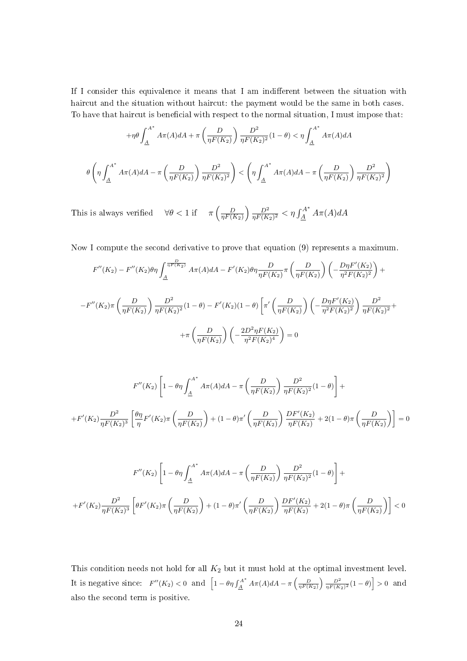If I consider this equivalence it means that I am indifferent between the situation with haircut and the situation without haircut: the payment would be the same in both cases. To have that haircut is beneficial with respect to the normal situation, I must impose that:

$$
+ \eta \theta \int_{\underline{A}}^{A^*} A \pi(A) dA + \pi \left( \frac{D}{\eta F(K_2)} \right) \frac{D^2}{\eta F(K_2)^2} (1 - \theta) < \eta \int_{\underline{A}}^{A^*} A \pi(A) dA
$$
  

$$
\theta \left( \eta \int_{\underline{A}}^{A^*} A \pi(A) dA - \pi \left( \frac{D}{\eta F(K_2)} \right) \frac{D^2}{\eta F(K_2)^2} \right) < \left( \eta \int_{\underline{A}}^{A^*} A \pi(A) dA - \pi \left( \frac{D}{\eta F(K_2)} \right) \frac{D^2}{\eta F(K_2)^2} \right)
$$

This is always verified  $\forall \theta < 1$  if  $\pi \left( \frac{D}{nFQ} \right)$  $\eta F(K_2)$  $\Big)$   $D^2$  $\frac{D^2}{\eta F(K_2)^2} < \eta \int_{\underline{A}}^{A^*} A\pi(A) dA$ 

Now I compute the second derivative to prove that equation (9) represents a maximum.

$$
F''(K_2) - F''(K_2)\theta \eta \int_{\underline{A}}^{\frac{D}{\eta F(K_2)}} A\pi(A) dA - F'(K_2)\theta \eta \frac{D}{\eta F(K_2)} \pi \left(\frac{D}{\eta F(K_2)}\right) \left(-\frac{D\eta F'(K_2)}{\eta^2 F(K_2)^2}\right) +
$$
  

$$
-F''(K_2)\pi \left(\frac{D}{\eta F(K_2)}\right) \frac{D^2}{\eta F(K_2)^2} (1-\theta) - F'(K_2)(1-\theta) \left[\pi'\left(\frac{D}{\eta F(K_2)}\right) \left(-\frac{D\eta F'(K_2)}{\eta^2 F(K_2)^2}\right) \frac{D^2}{\eta F(K_2)^2} +
$$
  

$$
+ \pi \left(\frac{D}{\eta F(K_2)}\right) \left(-\frac{2D^2\eta F(K_2)}{\eta^2 F(K_2)^4}\right) = 0
$$

$$
F''(K_2)\left[1-\theta\eta\int_{\underline{A}}^{A^*}A\pi(A)dA - \pi\left(\frac{D}{\eta F(K_2)}\right)\frac{D^2}{\eta F(K_2)^2}(1-\theta)\right] +
$$
  
+
$$
F'(K_2)\frac{D^2}{\eta F(K_2)^3}\left[\frac{\theta\eta}{\eta}F'(K_2)\pi\left(\frac{D}{\eta F(K_2)}\right) + (1-\theta)\pi'\left(\frac{D}{\eta F(K_2)}\right)\frac{DF'(K_2)}{\eta F(K_2)} + 2(1-\theta)\pi\left(\frac{D}{\eta F(K_2)}\right)\right] = 0
$$

$$
F''(K_2)\left[1 - \theta \eta \int_{\underline{A}}^{\underline{A}^*} A\pi(A) dA - \pi \left(\frac{D}{\eta F(K_2)}\right) \frac{D^2}{\eta F(K_2)^2} (1 - \theta)\right] +
$$
  
+
$$
F'(K_2)\frac{D^2}{\eta F(K_2)^3} \left[\theta F'(K_2)\pi \left(\frac{D}{\eta F(K_2)}\right) + (1 - \theta)\pi' \left(\frac{D}{\eta F(K_2)}\right) \frac{DF'(K_2)}{\eta F(K_2)} + 2(1 - \theta)\pi \left(\frac{D}{\eta F(K_2)}\right)\right] < 0
$$

This condition needs not hold for all  $K_2$  but it must hold at the optimal investment level. It is negative since:  $F''(K_2) < 0$  and  $\left[1 - \theta \eta \int_A^{A^*} A \pi(A) dA - \pi \left(\frac{D}{\eta F(K_2)}\right) \frac{D^2}{\eta F(K_2)^2} (1 - \theta)\right] > 0$  and also the second term is positive.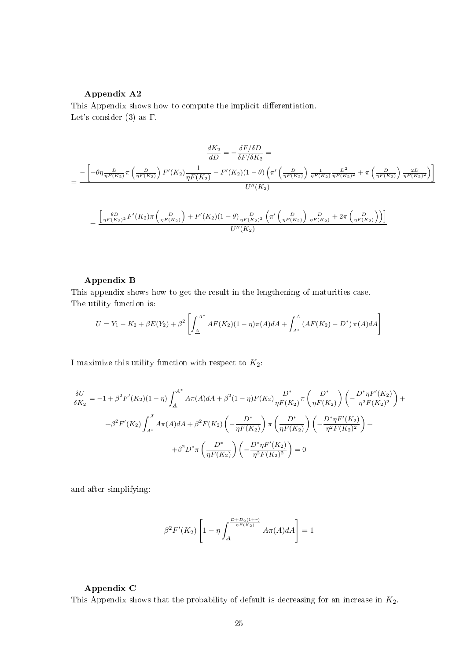#### Appendix A2

This Appendix shows how to compute the implicit differentiation. Let's consider (3) as F.

$$
\frac{dK_2}{dD} = -\frac{\delta F/\delta D}{\delta F/\delta K_2} =
$$
\n
$$
= \frac{-\left[-\theta\eta \frac{D}{\eta F(K_2)}\pi \left(\frac{D}{\eta F(K_2)}\right)F'(K_2)\frac{1}{\eta F(K_2)} - F'(K_2)(1-\theta)\left(\pi'\left(\frac{D}{\eta F(K_2)}\right)\frac{1}{\eta F(K_2)}\frac{D^2}{\eta F(K_2)^2} + \pi\left(\frac{D}{\eta F(K_2)}\right)\frac{2D}{\eta F(K_2)^2}\right)\right]}{U''(K_2)}
$$
\n
$$
= \frac{\left[\frac{\theta D}{\eta F(K_2)^2}F'(K_2)\pi \left(\frac{D}{\eta F(K_2)}\right) + F'(K_2)(1-\theta)\frac{D}{\eta F(K_2)^2} \left(\pi'\left(\frac{D}{\eta F(K_2)}\right)\frac{D}{\eta F(K_2)} + 2\pi\left(\frac{D}{\eta F(K_2)}\right)\right)\right]}{U''(K_2)}
$$

#### Appendix B

This appendix shows how to get the result in the lengthening of maturities case. The utility function is:

$$
U = Y_1 - K_2 + \beta E(Y_2) + \beta^2 \left[ \int_{\underline{A}}^{A^*} AF(K_2)(1-\eta)\pi(A)dA + \int_{A^*}^{\overline{A}} (AF(K_2) - D^*) \pi(A)dA \right]
$$

I maximize this utility function with respect to  $K_2$ :

$$
\frac{\delta U}{\delta K_2} = -1 + \beta^2 F'(K_2)(1-\eta) \int_{\underline{A}}^{\underline{A}^*} A\pi(A) dA + \beta^2 (1-\eta) F(K_2) \frac{D^*}{\eta F(K_2)} \pi \left(\frac{D^*}{\eta F(K_2)}\right) \left(-\frac{D^* \eta F'(K_2)}{\eta^2 F(K_2)^2}\right) +
$$
  
+  $\beta^2 F'(K_2) \int_{A^*}^{\bar{A}} A\pi(A) dA + \beta^2 F(K_2) \left(-\frac{D^*}{\eta F(K_2)}\right) \pi \left(\frac{D^*}{\eta F(K_2)}\right) \left(-\frac{D^* \eta F'(K_2)}{\eta^2 F(K_2)^2}\right) +$   
+  $\beta^2 D^* \pi \left(\frac{D^*}{\eta F(K_2)}\right) \left(-\frac{D^* \eta F'(K_2)}{\eta^2 F(K_2)^2}\right) = 0$ 

and after simplifying:

$$
\beta^{2} F'(K_{2}) \left[1 - \eta \int_{\underline{A}}^{\frac{D + D_{2}(1+r)}{\eta F(K_{2})}} A \pi(A) dA \right] = 1
$$

#### Appendix C

This Appendix shows that the probability of default is decreasing for an increase in  $K_2$ .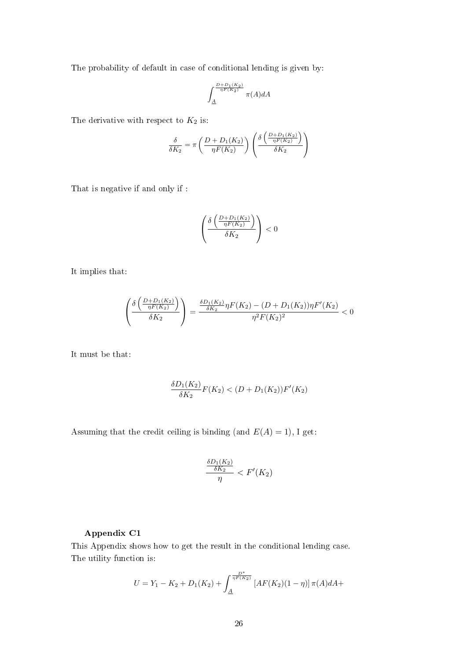The probability of default in case of conditional lending is given by:

$$
\int_{\underline{A}}^{\frac{D+D_1(K_2)}{\eta F(K_2)}} \pi(A) dA
$$

The derivative with respect to  $K_2$  is:

$$
\frac{\delta}{\delta K_2} = \pi \left( \frac{D + D_1(K_2)}{\eta F(K_2)} \right) \left( \frac{\delta \left( \frac{D + D_1(K_2)}{\eta F(K_2)} \right)}{\delta K_2} \right)
$$

That is negative if and only if :

$$
\left(\frac{\delta\left(\frac{D+D_1(K_2)}{\eta F(K_2)}\right)}{\delta K_2}\right) < 0
$$

It implies that:

$$
\left(\frac{\delta\left(\frac{D+D_1(K_2)}{\eta F(K_2)}\right)}{\delta K_2}\right) = \frac{\frac{\delta D_1(K_2)}{\delta K_2}\eta F(K_2) - (D+D_1(K_2))\eta F'(K_2)}{\eta^2 F(K_2)^2} < 0
$$

It must be that:

$$
\frac{\delta D_1(K_2)}{\delta K_2} F(K_2) < (D + D_1(K_2))F'(K_2)
$$

Assuming that the credit ceiling is binding (and  $E(A) = 1$ ), I get:

$$
\frac{\frac{\delta D_1(K_2)}{\delta K_2}}{\eta} < F'(K_2)
$$

#### Appendix C1

This Appendix shows how to get the result in the conditional lending case. The utility function is:

$$
U = Y_1 - K_2 + D_1(K_2) + \int_{\underline{A}}^{\frac{D^*}{\eta F(K_2)}} \left[ AF(K_2)(1-\eta) \right] \pi(A) dA +
$$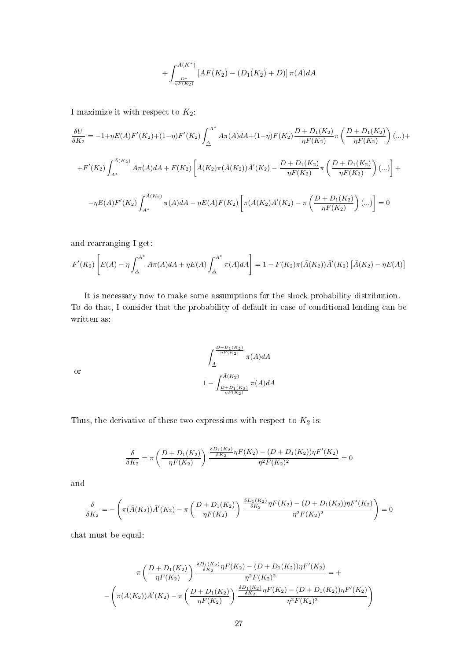$$
+\int_{\frac{D^*}{\eta F(K_2)}}^{\bar{A}(K^*)} \left[AF(K_2) - (D_1(K_2) + D)\right] \pi(A) dA
$$

I maximize it with respect to  $K_2$ :

$$
\frac{\delta U}{\delta K_2} = -1 + \eta E(A) F'(K_2) + (1 - \eta) F'(K_2) \int_A^{A^*} A\pi(A) dA + (1 - \eta) F(K_2) \frac{D + D_1(K_2)}{\eta F(K_2)} \pi \left(\frac{D + D_1(K_2)}{\eta F(K_2)}\right) (\dots) +
$$
  
+
$$
F'(K_2) \int_{A^*}^{\bar{A}(K_2)} A\pi(A) dA + F(K_2) \left[ \bar{A}(K_2) \pi(\bar{A}(K_2)) \bar{A}'(K_2) - \frac{D + D_1(K_2)}{\eta F(K_2)} \pi \left(\frac{D + D_1(K_2)}{\eta F(K_2)}\right) (\dots) \right] +
$$
  
-
$$
\eta E(A) F'(K_2) \int_{A^*}^{\bar{A}(K_2)} \pi(A) dA - \eta E(A) F(K_2) \left[ \pi(\bar{A}(K_2) \bar{A}'(K_2) - \pi \left(\frac{D + D_1(K_2)}{\eta F(K_2)}\right) (\dots) \right] = 0
$$

and rearranging I get:

$$
F'(K_2)\left[E(A) - \eta \int_{\underline{A}}^{A^*} A\pi(A)dA + \eta E(A)\int_{\underline{A}}^{A^*} \pi(A)dA\right] = 1 - F(K_2)\pi(\bar{A}(K_2))\bar{A}'(K_2)\left[\bar{A}(K_2) - \eta E(A)\right]
$$

It is necessary now to make some assumptions for the shock probability distribution. To do that, I consider that the probability of default in case of conditional lending can be written as:

$$
\int_{\frac{A}{\eta F(K_2)}}^{\frac{D+D_1(K_2)}{\eta F(K_2)}} \pi(A)dA
$$
  

$$
1 - \int_{\frac{D+D_1(K_2)}{\eta F(K_2)}}^{\bar{A}(K_2)} \pi(A)dA
$$

or

Thus, the derivative of these two expressions with respect to  $K_2$  is:

$$
\frac{\delta}{\delta K_2} = \pi \left( \frac{D + D_1(K_2)}{\eta F(K_2)} \right) \frac{\frac{\delta D_1(K_2)}{\delta K_2} \eta F(K_2) - (D + D_1(K_2)) \eta F'(K_2)}{\eta^2 F(K_2)^2} = 0
$$

and

$$
\frac{\delta}{\delta K_2} = -\left(\pi(\bar{A}(K_2))\bar{A}'(K_2) - \pi\left(\frac{D+D_1(K_2)}{\eta F(K_2)}\right)\frac{\frac{\delta D_1(K_2)}{\delta K_2}\eta F(K_2) - (D+D_1(K_2))\eta F'(K_2)}{\eta^2 F(K_2)^2}\right) = 0
$$

that must be equal:

$$
\pi\left(\frac{D+D_1(K_2)}{\eta F(K_2)}\right) \frac{\frac{\delta D_1(K_2)}{\delta K_2} \eta F(K_2) - (D+D_1(K_2)) \eta F'(K_2)}{\eta^2 F(K_2)^2} = +
$$

$$
-\left(\pi(\bar{A}(K_2))\bar{A}'(K_2) - \pi\left(\frac{D+D_1(K_2)}{\eta F(K_2)}\right)\frac{\frac{\delta D_1(K_2)}{\delta K_2} \eta F(K_2) - (D+D_1(K_2)) \eta F'(K_2)}{\eta^2 F(K_2)^2}\right)
$$